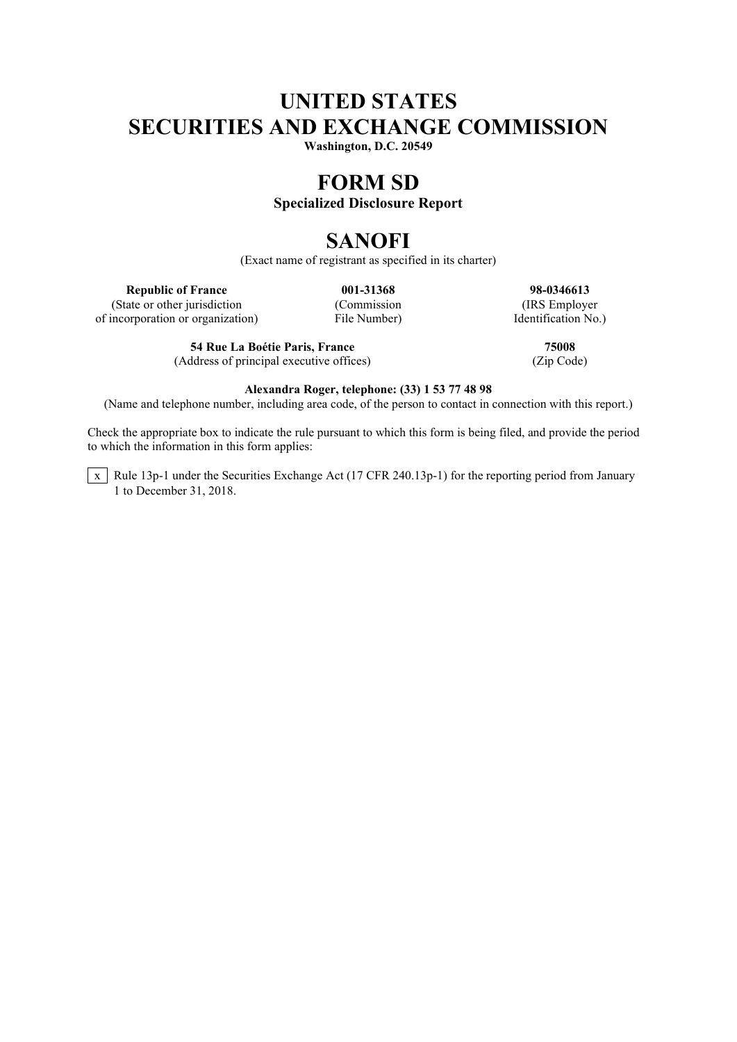# **UNITED STATES SECURITIES AND EXCHANGE COMMISSION**

**Washington, D.C. 20549**

# **FORM SD**

## **Specialized Disclosure Report**

# **SANOFI**

(Exact name of registrant as specified in its charter)

(State or other jurisdiction of incorporation or organization) File Number) Identification No.)

**54 Rue La Boétie Paris, France 75008** (Address of principal executive offices) (Zip Code)

**Republic of France 001-31368 98-0346613**<br> **128-0346613**<br> **128-0346613**<br> **128-0346613**<br> **128-0346613**<br> **128-0346613** 

### **Alexandra Roger, telephone: (33) 1 53 77 48 98**

(Name and telephone number, including area code, of the person to contact in connection with this report.)

Check the appropriate box to indicate the rule pursuant to which this form is being filed, and provide the period to which the information in this form applies:

 $\overline{x}$  Rule 13p-1 under the Securities Exchange Act (17 CFR 240.13p-1) for the reporting period from January 1 to December 31, 2018.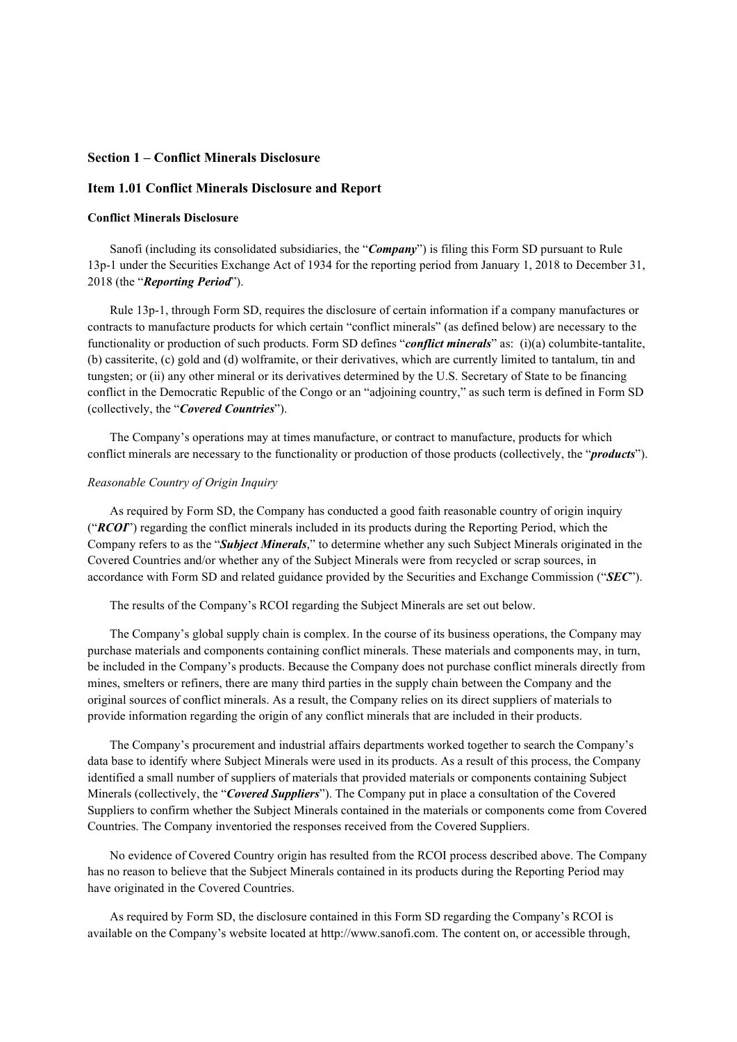### **Section 1 – Conflict Minerals Disclosure**

### **Item 1.01 Conflict Minerals Disclosure and Report**

#### **Conflict Minerals Disclosure**

Sanofi (including its consolidated subsidiaries, the "*Company*") is filing this Form SD pursuant to Rule 13p-1 under the Securities Exchange Act of 1934 for the reporting period from January 1, 2018 to December 31, 2018 (the "*Reporting Period*").

Rule 13p-1, through Form SD, requires the disclosure of certain information if a company manufactures or contracts to manufacture products for which certain "conflict minerals" (as defined below) are necessary to the functionality or production of such products. Form SD defines "*conflict minerals*" as: (i)(a) columbite-tantalite, (b) cassiterite, (c) gold and (d) wolframite, or their derivatives, which are currently limited to tantalum, tin and tungsten; or (ii) any other mineral or its derivatives determined by the U.S. Secretary of State to be financing conflict in the Democratic Republic of the Congo or an "adjoining country," as such term is defined in Form SD (collectively, the "*Covered Countries*").

The Company's operations may at times manufacture, or contract to manufacture, products for which conflict minerals are necessary to the functionality or production of those products (collectively, the "*products*").

#### *Reasonable Country of Origin Inquiry*

As required by Form SD, the Company has conducted a good faith reasonable country of origin inquiry ("*RCOI*") regarding the conflict minerals included in its products during the Reporting Period, which the Company refers to as the "*Subject Minerals*," to determine whether any such Subject Minerals originated in the Covered Countries and/or whether any of the Subject Minerals were from recycled or scrap sources, in accordance with Form SD and related guidance provided by the Securities and Exchange Commission ("*SEC*").

The results of the Company's RCOI regarding the Subject Minerals are set out below.

The Company's global supply chain is complex. In the course of its business operations, the Company may purchase materials and components containing conflict minerals. These materials and components may, in turn, be included in the Company's products. Because the Company does not purchase conflict minerals directly from mines, smelters or refiners, there are many third parties in the supply chain between the Company and the original sources of conflict minerals. As a result, the Company relies on its direct suppliers of materials to provide information regarding the origin of any conflict minerals that are included in their products.

The Company's procurement and industrial affairs departments worked together to search the Company's data base to identify where Subject Minerals were used in its products. As a result of this process, the Company identified a small number of suppliers of materials that provided materials or components containing Subject Minerals (collectively, the "*Covered Suppliers*"). The Company put in place a consultation of the Covered Suppliers to confirm whether the Subject Minerals contained in the materials or components come from Covered Countries. The Company inventoried the responses received from the Covered Suppliers.

No evidence of Covered Country origin has resulted from the RCOI process described above. The Company has no reason to believe that the Subject Minerals contained in its products during the Reporting Period may have originated in the Covered Countries.

As required by Form SD, the disclosure contained in this Form SD regarding the Company's RCOI is available on the Company's website located at http://www.sanofi.com. The content on, or accessible through,